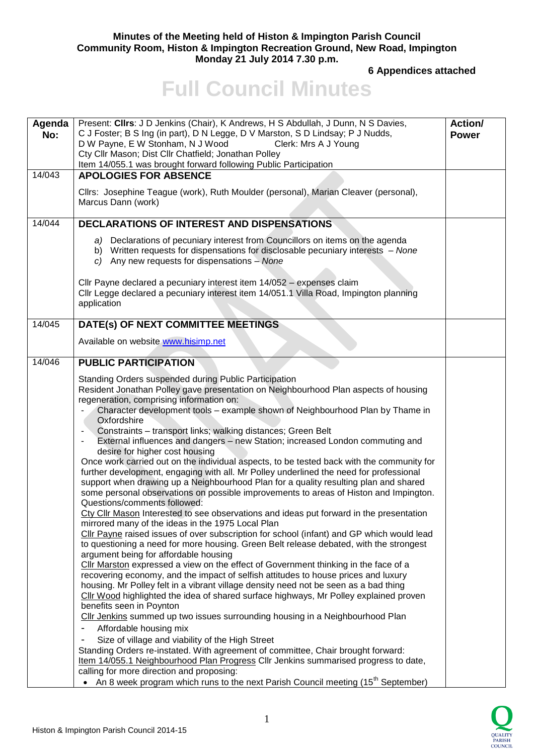#### **Minutes of the Meeting held of Histon & Impington Parish Council Community Room, Histon & Impington Recreation Ground, New Road, Impington Monday 21 July 2014 7.30 p.m.**

**6 Appendices attached** 

# **Full Council Minutes**

| Agenda<br>No: | Present: Clirs: J D Jenkins (Chair), K Andrews, H S Abdullah, J Dunn, N S Davies,<br>C J Foster; B S Ing (in part), D N Legge, D V Marston, S D Lindsay; P J Nudds,<br>D W Payne, E W Stonham, N J Wood<br>Clerk: Mrs A J Young<br>Cty Cllr Mason; Dist Cllr Chatfield; Jonathan Polley<br>Item 14/055.1 was brought forward following Public Participation                                                                                                                                                                                                                                                                                                                                                                                                                                                                                                                                                                                                                                                                                                                                                                                                                                                                                                                                                                                                                                                                                                                                                                                                                                                                                                                                                                                                                                                                                                                                                                                                                                                                                                                                                                                            |  |
|---------------|--------------------------------------------------------------------------------------------------------------------------------------------------------------------------------------------------------------------------------------------------------------------------------------------------------------------------------------------------------------------------------------------------------------------------------------------------------------------------------------------------------------------------------------------------------------------------------------------------------------------------------------------------------------------------------------------------------------------------------------------------------------------------------------------------------------------------------------------------------------------------------------------------------------------------------------------------------------------------------------------------------------------------------------------------------------------------------------------------------------------------------------------------------------------------------------------------------------------------------------------------------------------------------------------------------------------------------------------------------------------------------------------------------------------------------------------------------------------------------------------------------------------------------------------------------------------------------------------------------------------------------------------------------------------------------------------------------------------------------------------------------------------------------------------------------------------------------------------------------------------------------------------------------------------------------------------------------------------------------------------------------------------------------------------------------------------------------------------------------------------------------------------------------|--|
| 14/043        | <b>APOLOGIES FOR ABSENCE</b>                                                                                                                                                                                                                                                                                                                                                                                                                                                                                                                                                                                                                                                                                                                                                                                                                                                                                                                                                                                                                                                                                                                                                                                                                                                                                                                                                                                                                                                                                                                                                                                                                                                                                                                                                                                                                                                                                                                                                                                                                                                                                                                           |  |
|               | Cllrs: Josephine Teague (work), Ruth Moulder (personal), Marian Cleaver (personal),<br>Marcus Dann (work)                                                                                                                                                                                                                                                                                                                                                                                                                                                                                                                                                                                                                                                                                                                                                                                                                                                                                                                                                                                                                                                                                                                                                                                                                                                                                                                                                                                                                                                                                                                                                                                                                                                                                                                                                                                                                                                                                                                                                                                                                                              |  |
| 14/044        | <b>DECLARATIONS OF INTEREST AND DISPENSATIONS</b>                                                                                                                                                                                                                                                                                                                                                                                                                                                                                                                                                                                                                                                                                                                                                                                                                                                                                                                                                                                                                                                                                                                                                                                                                                                                                                                                                                                                                                                                                                                                                                                                                                                                                                                                                                                                                                                                                                                                                                                                                                                                                                      |  |
|               | a) Declarations of pecuniary interest from Councillors on items on the agenda<br>b) Written requests for dispensations for disclosable pecuniary interests - None<br>c) Any new requests for dispensations $-$ None                                                                                                                                                                                                                                                                                                                                                                                                                                                                                                                                                                                                                                                                                                                                                                                                                                                                                                                                                                                                                                                                                                                                                                                                                                                                                                                                                                                                                                                                                                                                                                                                                                                                                                                                                                                                                                                                                                                                    |  |
|               | CIIr Payne declared a pecuniary interest item 14/052 - expenses claim<br>Cllr Legge declared a pecuniary interest item 14/051.1 Villa Road, Impington planning<br>application                                                                                                                                                                                                                                                                                                                                                                                                                                                                                                                                                                                                                                                                                                                                                                                                                                                                                                                                                                                                                                                                                                                                                                                                                                                                                                                                                                                                                                                                                                                                                                                                                                                                                                                                                                                                                                                                                                                                                                          |  |
| 14/045        | DATE(s) OF NEXT COMMITTEE MEETINGS                                                                                                                                                                                                                                                                                                                                                                                                                                                                                                                                                                                                                                                                                                                                                                                                                                                                                                                                                                                                                                                                                                                                                                                                                                                                                                                                                                                                                                                                                                                                                                                                                                                                                                                                                                                                                                                                                                                                                                                                                                                                                                                     |  |
|               | Available on website www.hisimp.net                                                                                                                                                                                                                                                                                                                                                                                                                                                                                                                                                                                                                                                                                                                                                                                                                                                                                                                                                                                                                                                                                                                                                                                                                                                                                                                                                                                                                                                                                                                                                                                                                                                                                                                                                                                                                                                                                                                                                                                                                                                                                                                    |  |
| 14/046        | <b>PUBLIC PARTICIPATION</b>                                                                                                                                                                                                                                                                                                                                                                                                                                                                                                                                                                                                                                                                                                                                                                                                                                                                                                                                                                                                                                                                                                                                                                                                                                                                                                                                                                                                                                                                                                                                                                                                                                                                                                                                                                                                                                                                                                                                                                                                                                                                                                                            |  |
|               | Standing Orders suspended during Public Participation<br>Resident Jonathan Polley gave presentation on Neighbourhood Plan aspects of housing<br>regeneration, comprising information on:<br>Character development tools - example shown of Neighbourhood Plan by Thame in<br>Oxfordshire<br>Constraints - transport links; walking distances; Green Belt<br>External influences and dangers - new Station; increased London commuting and<br>desire for higher cost housing<br>Once work carried out on the individual aspects, to be tested back with the community for<br>further development, engaging with all. Mr Polley underlined the need for professional<br>support when drawing up a Neighbourhood Plan for a quality resulting plan and shared<br>some personal observations on possible improvements to areas of Histon and Impington.<br>Questions/comments followed:<br>Cty Cllr Mason Interested to see observations and ideas put forward in the presentation<br>mirrored many of the ideas in the 1975 Local Plan<br>Cllr Payne raised issues of over subscription for school (infant) and GP which would lead<br>to questioning a need for more housing. Green Belt release debated, with the strongest<br>argument being for affordable housing<br>CIIr Marston expressed a view on the effect of Government thinking in the face of a<br>recovering economy, and the impact of selfish attitudes to house prices and luxury<br>housing. Mr Polley felt in a vibrant village density need not be seen as a bad thing<br>Cllr Wood highlighted the idea of shared surface highways, Mr Polley explained proven<br>benefits seen in Poynton<br>Cllr Jenkins summed up two issues surrounding housing in a Neighbourhood Plan<br>Affordable housing mix<br>Size of village and viability of the High Street<br>Standing Orders re-instated. With agreement of committee, Chair brought forward:<br>Item 14/055.1 Neighbourhood Plan Progress Cllr Jenkins summarised progress to date,<br>calling for more direction and proposing:<br>• An 8 week program which runs to the next Parish Council meeting (15 <sup>th</sup> September) |  |

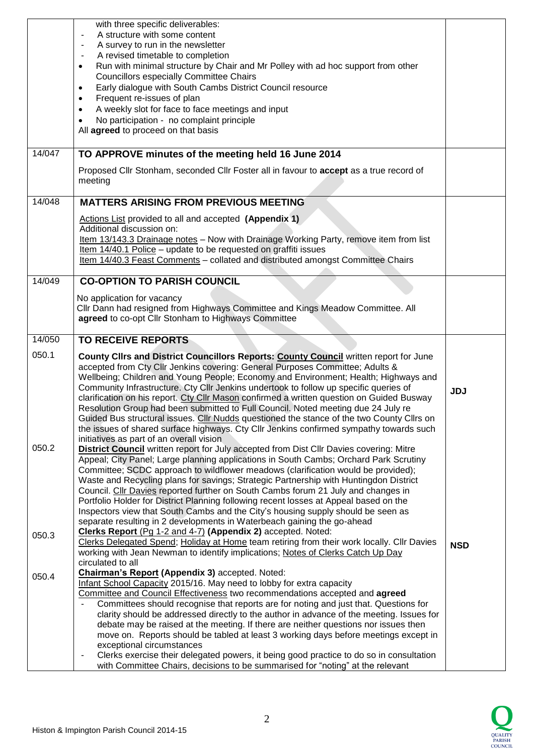|        | with three specific deliverables:<br>A structure with some content<br>A survey to run in the newsletter<br>A revised timetable to completion<br>Run with minimal structure by Chair and Mr Polley with ad hoc support from other<br>٠<br><b>Councillors especially Committee Chairs</b><br>Early dialogue with South Cambs District Council resource<br>$\bullet$<br>Frequent re-issues of plan<br>$\bullet$<br>A weekly slot for face to face meetings and input<br>$\bullet$<br>No participation - no complaint principle<br>All agreed to proceed on that basis                                                                                                                                                                                                                                          |            |
|--------|-------------------------------------------------------------------------------------------------------------------------------------------------------------------------------------------------------------------------------------------------------------------------------------------------------------------------------------------------------------------------------------------------------------------------------------------------------------------------------------------------------------------------------------------------------------------------------------------------------------------------------------------------------------------------------------------------------------------------------------------------------------------------------------------------------------|------------|
| 14/047 | TO APPROVE minutes of the meeting held 16 June 2014                                                                                                                                                                                                                                                                                                                                                                                                                                                                                                                                                                                                                                                                                                                                                         |            |
|        | Proposed Cllr Stonham, seconded Cllr Foster all in favour to accept as a true record of<br>meeting                                                                                                                                                                                                                                                                                                                                                                                                                                                                                                                                                                                                                                                                                                          |            |
| 14/048 | <b>MATTERS ARISING FROM PREVIOUS MEETING</b>                                                                                                                                                                                                                                                                                                                                                                                                                                                                                                                                                                                                                                                                                                                                                                |            |
|        | Actions List provided to all and accepted (Appendix 1)<br>Additional discussion on:<br>Item 13/143.3 Drainage notes - Now with Drainage Working Party, remove item from list<br>Item 14/40.1 Police - update to be requested on graffiti issues<br>Item 14/40.3 Feast Comments - collated and distributed amongst Committee Chairs                                                                                                                                                                                                                                                                                                                                                                                                                                                                          |            |
| 14/049 | <b>CO-OPTION TO PARISH COUNCIL</b>                                                                                                                                                                                                                                                                                                                                                                                                                                                                                                                                                                                                                                                                                                                                                                          |            |
|        | No application for vacancy<br>Cllr Dann had resigned from Highways Committee and Kings Meadow Committee. All<br>agreed to co-opt Cllr Stonham to Highways Committee                                                                                                                                                                                                                                                                                                                                                                                                                                                                                                                                                                                                                                         |            |
| 14/050 | <b>TO RECEIVE REPORTS</b>                                                                                                                                                                                                                                                                                                                                                                                                                                                                                                                                                                                                                                                                                                                                                                                   |            |
| 050.1  | County Clirs and District Councillors Reports: County Council written report for June<br>accepted from Cty Cllr Jenkins covering: General Purposes Committee; Adults &<br>Wellbeing; Children and Young People; Economy and Environment; Health; Highways and<br>Community Infrastructure. Cty Cllr Jenkins undertook to follow up specific queries of<br>clarification on his report. Cty Cllr Mason confirmed a written question on Guided Busway<br>Resolution Group had been submitted to Full Council. Noted meeting due 24 July re<br>Guided Bus structural issues. Cllr Nudds questioned the stance of the two County Cllrs on<br>the issues of shared surface highways. Cty Cllr Jenkins confirmed sympathy towards such<br>initiatives as part of an overall vision                                | <b>JDJ</b> |
| 050.2  | <b>District Council</b> written report for July accepted from Dist Cllr Davies covering: Mitre<br>Appeal; City Panel; Large planning applications in South Cambs; Orchard Park Scrutiny<br>Committee; SCDC approach to wildflower meadows (clarification would be provided);<br>Waste and Recycling plans for savings; Strategic Partnership with Huntingdon District<br>Council. Cllr Davies reported further on South Cambs forum 21 July and changes in<br>Portfolio Holder for District Planning following recent losses at Appeal based on the<br>Inspectors view that South Cambs and the City's housing supply should be seen as<br>separate resulting in 2 developments in Waterbeach gaining the go-ahead                                                                                          |            |
| 050.3  | Clerks Report (Pg 1-2 and 4-7) (Appendix 2) accepted. Noted:<br>Clerks Delegated Spend; Holiday at Home team retiring from their work locally. Cllr Davies<br>working with Jean Newman to identify implications; Notes of Clerks Catch Up Day<br>circulated to all                                                                                                                                                                                                                                                                                                                                                                                                                                                                                                                                          | <b>NSD</b> |
| 050.4  | <b>Chairman's Report (Appendix 3) accepted. Noted:</b><br>Infant School Capacity 2015/16. May need to lobby for extra capacity<br>Committee and Council Effectiveness two recommendations accepted and agreed<br>Committees should recognise that reports are for noting and just that. Questions for<br>clarity should be addressed directly to the author in advance of the meeting. Issues for<br>debate may be raised at the meeting. If there are neither questions nor issues then<br>move on. Reports should be tabled at least 3 working days before meetings except in<br>exceptional circumstances<br>Clerks exercise their delegated powers, it being good practice to do so in consultation<br>$\blacksquare$<br>with Committee Chairs, decisions to be summarised for "noting" at the relevant |            |

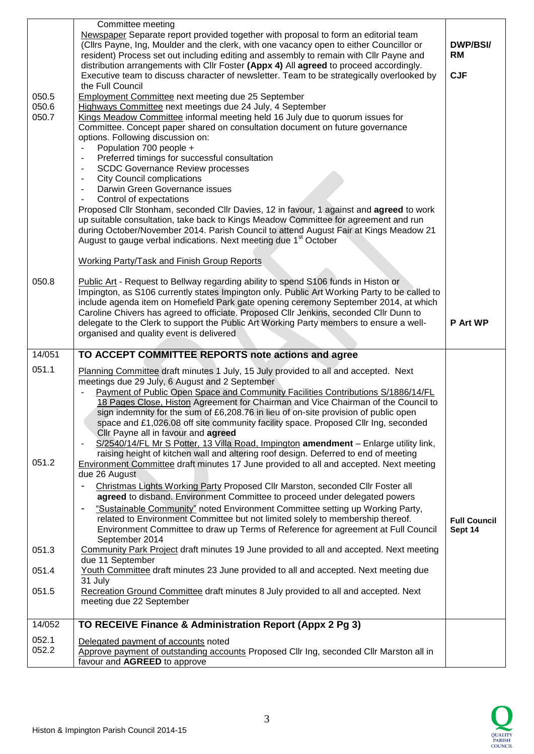| 050.5<br>050.6 | Committee meeting<br>Newspaper Separate report provided together with proposal to form an editorial team<br>(Cllrs Payne, Ing, Moulder and the clerk, with one vacancy open to either Councillor or<br>resident) Process set out including editing and assembly to remain with Cllr Payne and<br>distribution arrangements with Cllr Foster (Appx 4) All agreed to proceed accordingly.<br>Executive team to discuss character of newsletter. Team to be strategically overlooked by<br>the Full Council<br><b>Employment Committee next meeting due 25 September</b><br>Highways Committee next meetings due 24 July, 4 September                                                                                                                                                      | <b>DWP/BSI/</b><br><b>RM</b><br><b>CJF</b> |
|----------------|-----------------------------------------------------------------------------------------------------------------------------------------------------------------------------------------------------------------------------------------------------------------------------------------------------------------------------------------------------------------------------------------------------------------------------------------------------------------------------------------------------------------------------------------------------------------------------------------------------------------------------------------------------------------------------------------------------------------------------------------------------------------------------------------|--------------------------------------------|
| 050.7          | Kings Meadow Committee informal meeting held 16 July due to quorum issues for<br>Committee. Concept paper shared on consultation document on future governance<br>options. Following discussion on:<br>Population 700 people +<br>Preferred timings for successful consultation<br><b>SCDC Governance Review processes</b><br><b>City Council complications</b><br>Darwin Green Governance issues<br>Control of expectations<br>Proposed Cllr Stonham, seconded Cllr Davies, 12 in favour, 1 against and agreed to work<br>up suitable consultation, take back to Kings Meadow Committee for agreement and run<br>during October/November 2014. Parish Council to attend August Fair at Kings Meadow 21<br>August to gauge verbal indications. Next meeting due 1 <sup>st</sup> October |                                            |
|                | <b>Working Party/Task and Finish Group Reports</b>                                                                                                                                                                                                                                                                                                                                                                                                                                                                                                                                                                                                                                                                                                                                      |                                            |
| 050.8          | Public Art - Request to Bellway regarding ability to spend S106 funds in Histon or<br>Impington, as S106 currently states Impington only. Public Art Working Party to be called to<br>include agenda item on Homefield Park gate opening ceremony September 2014, at which<br>Caroline Chivers has agreed to officiate. Proposed Cllr Jenkins, seconded Cllr Dunn to<br>delegate to the Clerk to support the Public Art Working Party members to ensure a well-<br>organised and quality event is delivered                                                                                                                                                                                                                                                                             | <b>P</b> Art WP                            |
|                |                                                                                                                                                                                                                                                                                                                                                                                                                                                                                                                                                                                                                                                                                                                                                                                         |                                            |
| 14/051         | TO ACCEPT COMMITTEE REPORTS note actions and agree                                                                                                                                                                                                                                                                                                                                                                                                                                                                                                                                                                                                                                                                                                                                      |                                            |
| 051.1          | Planning Committee draft minutes 1 July, 15 July provided to all and accepted. Next<br>meetings due 29 July, 6 August and 2 September<br>Payment of Public Open Space and Community Facilities Contributions S/1886/14/FL                                                                                                                                                                                                                                                                                                                                                                                                                                                                                                                                                               |                                            |
| 051.2          | 18 Pages Close, Histon Agreement for Chairman and Vice Chairman of the Council to<br>sign indemnity for the sum of £6,208.76 in lieu of on-site provision of public open<br>space and £1,026.08 off site community facility space. Proposed Cllr Ing, seconded<br>Cllr Payne all in favour and agreed<br>S/2540/14/FL Mr S Potter, 13 Villa Road, Impington amendment - Enlarge utility link,<br>raising height of kitchen wall and altering roof design. Deferred to end of meeting<br><b>Environment Committee draft minutes 17 June provided to all and accepted. Next meeting</b><br>due 26 August                                                                                                                                                                                  |                                            |
|                | Christmas Lights Working Party Proposed Cllr Marston, seconded Cllr Foster all<br>agreed to disband. Environment Committee to proceed under delegated powers<br>"Sustainable Community" noted Environment Committee setting up Working Party,<br>related to Environment Committee but not limited solely to membership thereof.<br>Environment Committee to draw up Terms of Reference for agreement at Full Council                                                                                                                                                                                                                                                                                                                                                                    | <b>Full Council</b><br>Sept 14             |
| 051.3          | September 2014<br>Community Park Project draft minutes 19 June provided to all and accepted. Next meeting                                                                                                                                                                                                                                                                                                                                                                                                                                                                                                                                                                                                                                                                               |                                            |
| 051.4          | due 11 September<br>Youth Committee draft minutes 23 June provided to all and accepted. Next meeting due                                                                                                                                                                                                                                                                                                                                                                                                                                                                                                                                                                                                                                                                                |                                            |
| 051.5          | 31 July<br>Recreation Ground Committee draft minutes 8 July provided to all and accepted. Next<br>meeting due 22 September                                                                                                                                                                                                                                                                                                                                                                                                                                                                                                                                                                                                                                                              |                                            |
| 14/052         | TO RECEIVE Finance & Administration Report (Appx 2 Pg 3)                                                                                                                                                                                                                                                                                                                                                                                                                                                                                                                                                                                                                                                                                                                                |                                            |

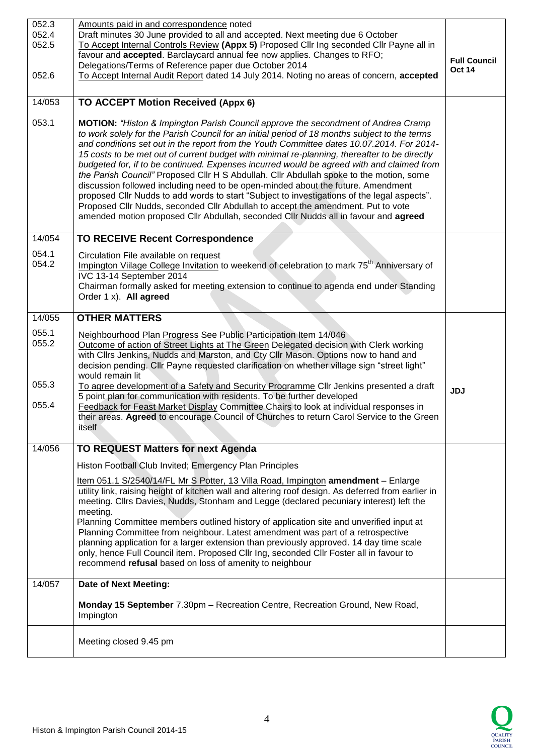| 052.3<br>052.4<br>052.5<br>052.6 | Amounts paid in and correspondence noted<br>Draft minutes 30 June provided to all and accepted. Next meeting due 6 October<br>To Accept Internal Controls Review (Appx 5) Proposed Cllr Ing seconded Cllr Payne all in<br>favour and accepted. Barclaycard annual fee now applies. Changes to RFO;<br>Delegations/Terms of Reference paper due October 2014<br>To Accept Internal Audit Report dated 14 July 2014. Noting no areas of concern, accepted                                                                                                                                                                                                                                                                                                                                                                                                                                                                                      |            |
|----------------------------------|----------------------------------------------------------------------------------------------------------------------------------------------------------------------------------------------------------------------------------------------------------------------------------------------------------------------------------------------------------------------------------------------------------------------------------------------------------------------------------------------------------------------------------------------------------------------------------------------------------------------------------------------------------------------------------------------------------------------------------------------------------------------------------------------------------------------------------------------------------------------------------------------------------------------------------------------|------------|
| 14/053                           |                                                                                                                                                                                                                                                                                                                                                                                                                                                                                                                                                                                                                                                                                                                                                                                                                                                                                                                                              |            |
|                                  | TO ACCEPT Motion Received (Appx 6)                                                                                                                                                                                                                                                                                                                                                                                                                                                                                                                                                                                                                                                                                                                                                                                                                                                                                                           |            |
| 053.1                            | <b>MOTION:</b> "Histon & Impington Parish Council approve the secondment of Andrea Cramp<br>to work solely for the Parish Council for an initial period of 18 months subject to the terms<br>and conditions set out in the report from the Youth Committee dates 10.07.2014. For 2014-<br>15 costs to be met out of current budget with minimal re-planning, thereafter to be directly<br>budgeted for, if to be continued. Expenses incurred would be agreed with and claimed from<br>the Parish Council" Proposed Cllr H S Abdullah. Cllr Abdullah spoke to the motion, some<br>discussion followed including need to be open-minded about the future. Amendment<br>proposed Cllr Nudds to add words to start "Subject to investigations of the legal aspects".<br>Proposed Cllr Nudds, seconded Cllr Abdullah to accept the amendment. Put to vote<br>amended motion proposed Cllr Abdullah, seconded Cllr Nudds all in favour and agreed |            |
| 14/054                           | <b>TO RECEIVE Recent Correspondence</b>                                                                                                                                                                                                                                                                                                                                                                                                                                                                                                                                                                                                                                                                                                                                                                                                                                                                                                      |            |
| 054.1<br>054.2                   | Circulation File available on request<br>Impington Viilage College Invitation to weekend of celebration to mark 75 <sup>th</sup> Anniversary of<br>IVC 13-14 September 2014<br>Chairman formally asked for meeting extension to continue to agenda end under Standing<br>Order 1 x). All agreed                                                                                                                                                                                                                                                                                                                                                                                                                                                                                                                                                                                                                                              |            |
| 14/055                           | <b>OTHER MATTERS</b>                                                                                                                                                                                                                                                                                                                                                                                                                                                                                                                                                                                                                                                                                                                                                                                                                                                                                                                         |            |
| 055.1<br>055.2                   | Neighbourhood Plan Progress See Public Participation Item 14/046<br>Outcome of action of Street Lights at The Green Delegated decision with Clerk working<br>with Cllrs Jenkins, Nudds and Marston, and Cty Cllr Mason. Options now to hand and<br>decision pending. Cllr Payne requested clarification on whether village sign "street light"<br>would remain lit                                                                                                                                                                                                                                                                                                                                                                                                                                                                                                                                                                           |            |
| 055.3<br>055.4                   | To agree development of a Safety and Security Programme Cllr Jenkins presented a draft<br>5 point plan for communication with residents. To be further developed<br>Feedback for Feast Market Display Committee Chairs to look at individual responses in<br>their areas. Agreed to encourage Council of Churches to return Carol Service to the Green<br>itself                                                                                                                                                                                                                                                                                                                                                                                                                                                                                                                                                                             | <b>JDJ</b> |
| 14/056                           | <b>TO REQUEST Matters for next Agenda</b>                                                                                                                                                                                                                                                                                                                                                                                                                                                                                                                                                                                                                                                                                                                                                                                                                                                                                                    |            |
|                                  | Histon Football Club Invited; Emergency Plan Principles                                                                                                                                                                                                                                                                                                                                                                                                                                                                                                                                                                                                                                                                                                                                                                                                                                                                                      |            |
|                                  | Item 051.1 S/2540/14/FL Mr S Potter, 13 Villa Road, Impington amendment - Enlarge<br>utility link, raising height of kitchen wall and altering roof design. As deferred from earlier in<br>meeting. Cllrs Davies, Nudds, Stonham and Legge (declared pecuniary interest) left the<br>meeting.<br>Planning Committee members outlined history of application site and unverified input at<br>Planning Committee from neighbour. Latest amendment was part of a retrospective<br>planning application for a larger extension than previously approved. 14 day time scale<br>only, hence Full Council item. Proposed Cllr Ing, seconded Cllr Foster all in favour to<br>recommend refusal based on loss of amenity to neighbour                                                                                                                                                                                                                 |            |
| 14/057                           | <b>Date of Next Meeting:</b>                                                                                                                                                                                                                                                                                                                                                                                                                                                                                                                                                                                                                                                                                                                                                                                                                                                                                                                 |            |
|                                  | Monday 15 September 7.30pm - Recreation Centre, Recreation Ground, New Road,<br>Impington                                                                                                                                                                                                                                                                                                                                                                                                                                                                                                                                                                                                                                                                                                                                                                                                                                                    |            |
|                                  | Meeting closed 9.45 pm                                                                                                                                                                                                                                                                                                                                                                                                                                                                                                                                                                                                                                                                                                                                                                                                                                                                                                                       |            |

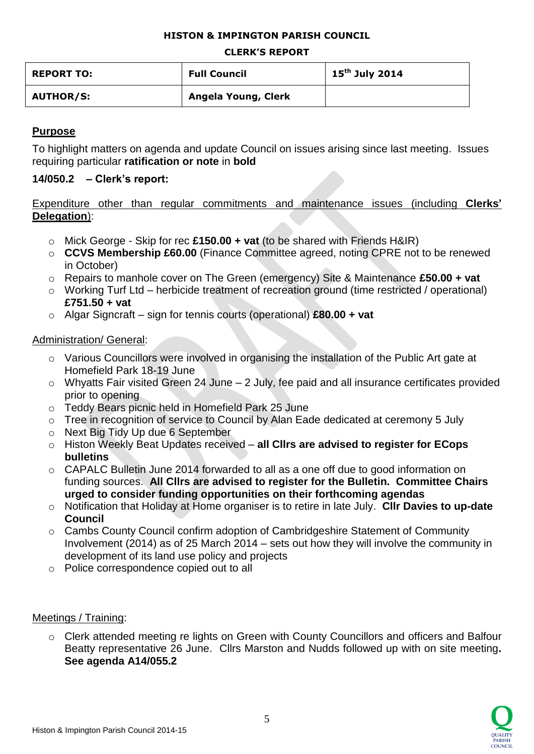### **HISTON & IMPINGTON PARISH COUNCIL**

#### **CLERK'S REPORT**

| <b>REPORT TO:</b> | <b>Full Council</b> | $15^{\text{th}}$ July 2014 |
|-------------------|---------------------|----------------------------|
| <b>AUTHOR/S:</b>  | Angela Young, Clerk |                            |

## **Purpose**

To highlight matters on agenda and update Council on issues arising since last meeting. Issues requiring particular **ratification or note** in **bold**

## **14/050.2 – Clerk's report:**

Expenditure other than regular commitments and maintenance issues (including **Clerks' Delegation**):

- o Mick George Skip for rec **£150.00 + vat** (to be shared with Friends H&IR)
- o **CCVS Membership £60.00** (Finance Committee agreed, noting CPRE not to be renewed in October)
- o Repairs to manhole cover on The Green (emergency) Site & Maintenance **£50.00 + vat**
- o Working Turf Ltd herbicide treatment of recreation ground (time restricted / operational) **£751.50 + vat**
- o Algar Signcraft sign for tennis courts (operational) **£80.00 + vat**

# Administration/ General:

- o Various Councillors were involved in organising the installation of the Public Art gate at Homefield Park 18-19 June
- o Whyatts Fair visited Green 24 June 2 July, fee paid and all insurance certificates provided prior to opening
- o Teddy Bears picnic held in Homefield Park 25 June
- o Tree in recognition of service to Council by Alan Eade dedicated at ceremony 5 July
- o Next Big Tidy Up due 6 September
- o Histon Weekly Beat Updates received **all Cllrs are advised to register for ECops bulletins**
- o CAPALC Bulletin June 2014 forwarded to all as a one off due to good information on funding sources. **All Cllrs are advised to register for the Bulletin. Committee Chairs urged to consider funding opportunities on their forthcoming agendas**
- o Notification that Holiday at Home organiser is to retire in late July. **Cllr Davies to up-date Council**
- o Cambs County Council confirm adoption of Cambridgeshire Statement of Community Involvement (2014) as of 25 March 2014 – sets out how they will involve the community in development of its land use policy and projects
- o Police correspondence copied out to all

## Meetings / Training:

o Clerk attended meeting re lights on Green with County Councillors and officers and Balfour Beatty representative 26 June. Cllrs Marston and Nudds followed up with on site meeting**. See agenda A14/055.2**

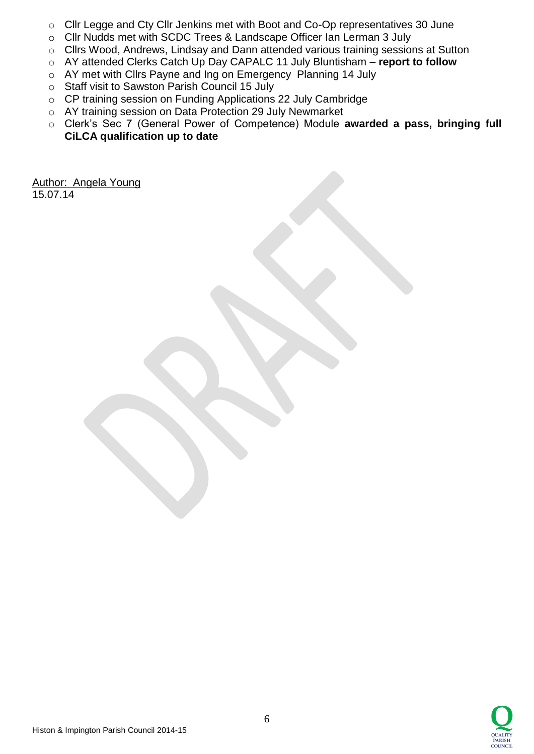- o Cllr Legge and Cty Cllr Jenkins met with Boot and Co-Op representatives 30 June
- o Cllr Nudds met with SCDC Trees & Landscape Officer Ian Lerman 3 July
- o Cllrs Wood, Andrews, Lindsay and Dann attended various training sessions at Sutton
- o AY attended Clerks Catch Up Day CAPALC 11 July Bluntisham **report to follow**
- o AY met with Cllrs Payne and Ing on Emergency Planning 14 July
- o Staff visit to Sawston Parish Council 15 July
- o CP training session on Funding Applications 22 July Cambridge
- o AY training session on Data Protection 29 July Newmarket
- o Clerk's Sec 7 (General Power of Competence) Module **awarded a pass, bringing full CiLCA qualification up to date**

Author: Angela Young 15.07.14

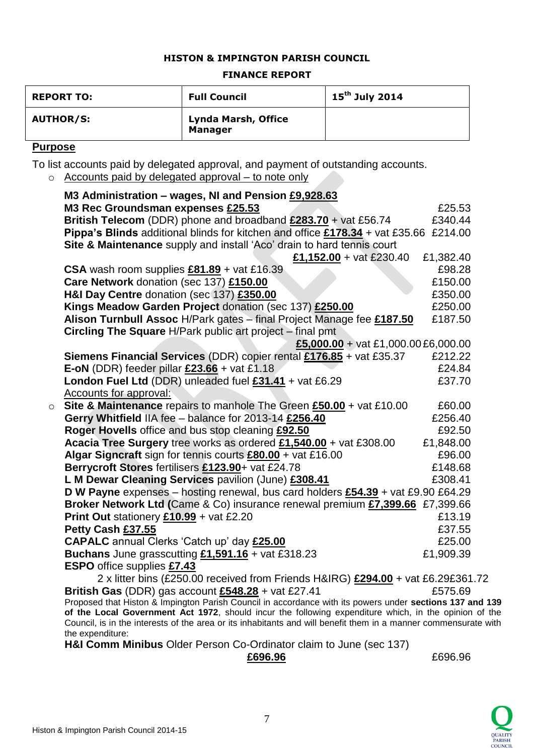#### **HISTON & IMPINGTON PARISH COUNCIL**

#### **FINANCE REPORT**

| <b>REPORT TO:</b> | <b>Full Council</b>                          | $15^{th}$ July 2014 |
|-------------------|----------------------------------------------|---------------------|
| <b>AUTHOR/S:</b>  | <b>Lynda Marsh, Office</b><br><b>Manager</b> |                     |

## **Purpose**

To list accounts paid by delegated approval, and payment of outstanding accounts.

o Accounts paid by delegated approval – to note only

|         | M3 Administration - wages, NI and Pension £9,928.63                                                                                                                                                               |           |
|---------|-------------------------------------------------------------------------------------------------------------------------------------------------------------------------------------------------------------------|-----------|
|         | M3 Rec Groundsman expenses £25.53                                                                                                                                                                                 | £25.53    |
|         | British Telecom (DDR) phone and broadband £283.70 + vat £56.74                                                                                                                                                    | £340.44   |
|         | Pippa's Blinds additional blinds for kitchen and office £178.34 + vat £35.66 £214.00                                                                                                                              |           |
|         | Site & Maintenance supply and install 'Aco' drain to hard tennis court                                                                                                                                            |           |
|         | £1,152.00 + vat £230.40                                                                                                                                                                                           | £1,382.40 |
|         | CSA wash room supplies $£81.89 +$ vat £16.39                                                                                                                                                                      | £98.28    |
|         | Care Network donation (sec 137) £150.00                                                                                                                                                                           | £150.00   |
|         | H&I Day Centre donation (sec 137) £350.00                                                                                                                                                                         | £350.00   |
|         | Kings Meadow Garden Project donation (sec 137) £250.00                                                                                                                                                            | £250.00   |
|         | Alison Turnbull Assoc H/Park gates - final Project Manage fee £187.50                                                                                                                                             | £187.50   |
|         | Circling The Square H/Park public art project - final pmt                                                                                                                                                         |           |
|         | £5,000.00 + vat £1,000.00 £6,000.00                                                                                                                                                                               |           |
|         | Siemens Financial Services (DDR) copier rental £176.85 + vat £35.37                                                                                                                                               | £212.22   |
|         | E-oN (DDR) feeder pillar $£23.66 +$ vat £1.18                                                                                                                                                                     | £24.84    |
|         | London Fuel Ltd (DDR) unleaded fuel $£31.41 +$ vat £6.29                                                                                                                                                          | £37.70    |
|         | Accounts for approval:                                                                                                                                                                                            |           |
| $\circ$ | Site & Maintenance repairs to manhole The Green £50.00 + vat £10.00                                                                                                                                               | £60.00    |
|         | Gerry Whitfield IIA fee - balance for 2013-14 £256.40                                                                                                                                                             | £256.40   |
|         | Roger Hovells office and bus stop cleaning £92.50                                                                                                                                                                 | £92.50    |
|         | Acacia Tree Surgery tree works as ordered £1,540.00 + vat £308.00                                                                                                                                                 | £1,848.00 |
|         | Algar Signcraft sign for tennis courts £80.00 + vat £16.00                                                                                                                                                        | £96.00    |
|         | Berrycroft Stores fertilisers £123.90+ vat £24.78                                                                                                                                                                 | £148.68   |
|         | L M Dewar Cleaning Services pavilion (June) £308.41                                                                                                                                                               | £308.41   |
|         | D W Payne expenses - hosting renewal, bus card holders £54.39 + vat £9.90 £64.29                                                                                                                                  |           |
|         | Broker Network Ltd (Came & Co) insurance renewal premium £7,399.66 £7,399.66                                                                                                                                      |           |
|         | Print Out stationery $£10.99 +$ vat £2.20                                                                                                                                                                         | £13.19    |
|         | Petty Cash £37.55                                                                                                                                                                                                 | £37.55    |
|         | CAPALC annual Clerks 'Catch up' day £25.00                                                                                                                                                                        | £25.00    |
|         | Buchans June grasscutting $£1,591.16 +$ vat £318.23                                                                                                                                                               | £1,909.39 |
|         | <b>ESPO</b> office supplies £7.43                                                                                                                                                                                 |           |
|         | 2 x litter bins (£250.00 received from Friends H&IRG) £294.00 + vat £6.29£361.72                                                                                                                                  |           |
|         | British Gas (DDR) gas account $£548.28 +$ vat £27.41                                                                                                                                                              | £575.69   |
|         | Proposed that Histon & Impington Parish Council in accordance with its powers under sections 137 and 139<br>of the Local Government Act 1972, should incur the following expenditure which, in the opinion of the |           |
|         | Council, is in the interests of the area or its inhabitants and will benefit them in a manner commensurate with                                                                                                   |           |
|         | the expenditure:                                                                                                                                                                                                  |           |

**H&I Comm Minibus** Older Person Co-Ordinator claim to June (sec 137)

 **£696.96** £696.96